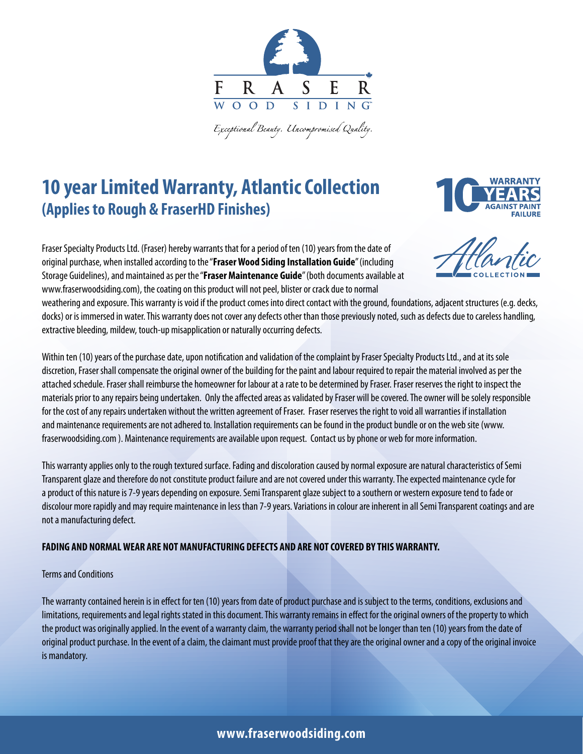

Exceptional Beauty. Uncompromised Quality.

# **10 year Limited Warranty, Atlantic Collection (Applies to Rough & FraserHD Finishes)**



Fraser Specialty Products Ltd. (Fraser) hereby warrants that for a period of ten (10) years from the date of original purchase, when installed according to the "**Fraser Wood Siding Installation Guide**" (including Storage Guidelines), and maintained as per the "**Fraser Maintenance Guide**" (both documents available at www.fraserwoodsiding.com), the coating on this product will not peel, blister or crack due to normal



weathering and exposure. This warranty is void if the product comes into direct contact with the ground, foundations, adjacent structures (e.g. decks, docks) or is immersed in water. This warranty does not cover any defects other than those previously noted, such as defects due to careless handling, extractive bleeding, mildew, touch-up misapplication or naturally occurring defects.

Within ten (10) years of the purchase date, upon notification and validation of the complaint by Fraser Specialty Products Ltd., and at its sole discretion, Fraser shall compensate the original owner of the building for the paint and labour required to repair the material involved as per the attached schedule. Fraser shall reimburse the homeowner for labour at a rate to be determined by Fraser. Fraser reserves the right to inspect the materials prior to any repairs being undertaken. Only the affected areas as validated by Fraser will be covered. The owner will be solely responsible for the cost of any repairs undertaken without the written agreement of Fraser. Fraser reserves the right to void all warranties if installation and maintenance requirements are not adhered to. Installation requirements can be found in the product bundle or on the web site (www. fraserwoodsiding.com ). Maintenance requirements are available upon request. Contact us by phone or web for more information.

This warranty applies only to the rough textured surface. Fading and discoloration caused by normal exposure are natural characteristics of Semi Transparent glaze and therefore do not constitute product failure and are not covered under this warranty. The expected maintenance cycle for a product of this nature is 7-9 years depending on exposure. Semi Transparent glaze subject to a southern or western exposure tend to fade or discolour more rapidly and may require maintenance in less than 7-9 years. Variations in colour are inherent in all Semi Transparent coatings and are not a manufacturing defect.

#### **FADING AND NORMAL WEAR ARE NOT MANUFACTURING DEFECTS AND ARE NOT COVERED BY THIS WARRANTY.**

#### Terms and Conditions

The warranty contained herein is in effect for ten (10) years from date of product purchase and is subject to the terms, conditions, exclusions and limitations, requirements and legal rights stated in this document. This warranty remains in effect for the original owners of the property to which the product was originally applied. In the event of a warranty claim, the warranty period shall not be longer than ten (10) years from the date of original product purchase. In the event of a claim, the claimant must provide proof that they are the original owner and a copy of the original invoice is mandatory.

### **www.fraserwoodsiding.com**